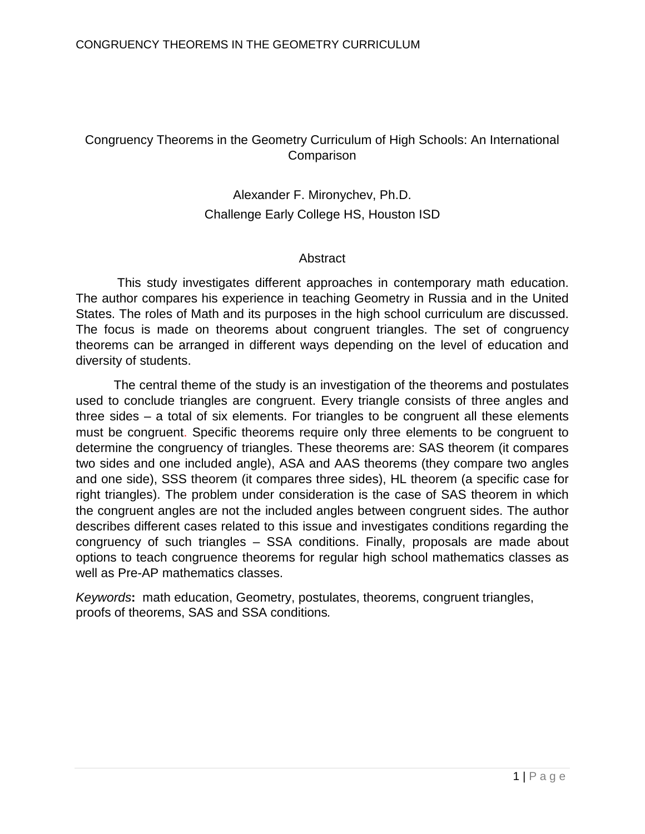# Congruency Theorems in the Geometry Curriculum of High Schools: An International **Comparison**

# Alexander F. Mironychev, Ph.D. Challenge Early College HS, Houston ISD

## Abstract

This study investigates different approaches in contemporary math education. The author compares his experience in teaching Geometry in Russia and in the United States. The roles of Math and its purposes in the high school curriculum are discussed. The focus is made on theorems about congruent triangles. The set of congruency theorems can be arranged in different ways depending on the level of education and diversity of students.

The central theme of the study is an investigation of the theorems and postulates used to conclude triangles are congruent. Every triangle consists of three angles and three sides – a total of six elements. For triangles to be congruent all these elements must be congruent. Specific theorems require only three elements to be congruent to determine the congruency of triangles. These theorems are: SAS theorem (it compares two sides and one included angle), ASA and AAS theorems (they compare two angles and one side), SSS theorem (it compares three sides), HL theorem (a specific case for right triangles). The problem under consideration is the case of SAS theorem in which the congruent angles are not the included angles between congruent sides. The author describes different cases related to this issue and investigates conditions regarding the congruency of such triangles – SSA conditions. Finally, proposals are made about options to teach congruence theorems for regular high school mathematics classes as well as Pre-AP mathematics classes.

*Keywords***:** math education, Geometry, postulates, theorems, congruent triangles, proofs of theorems, SAS and SSA conditions*.*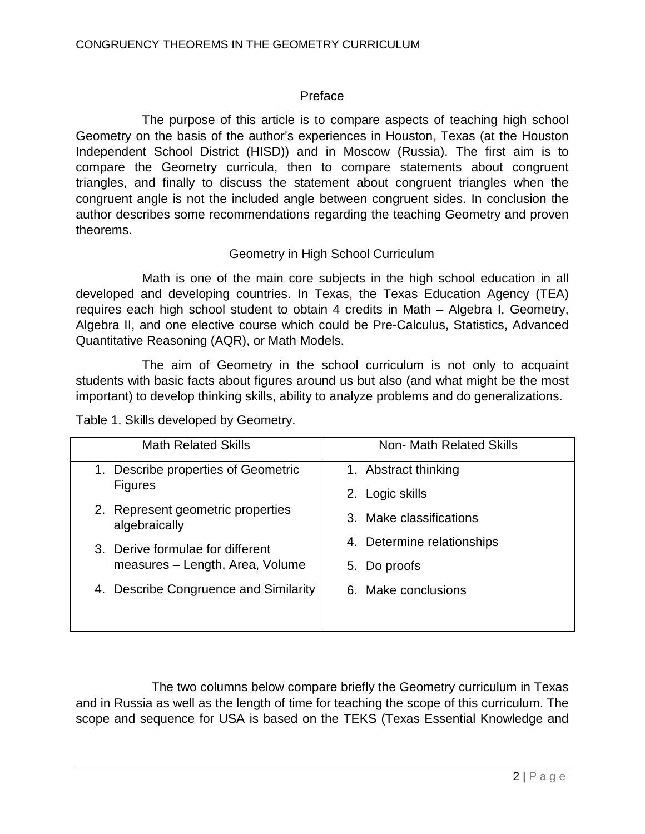## Preface

The purpose of this article is to compare aspects of teaching high school Geometry on the basis of the author's experiences in Houston, Texas (at the Houston Independent School District (HISD)) and in Moscow (Russia). The first aim is to compare the Geometry curricula, then to compare statements about congruent triangles, and finally to discuss the statement about congruent triangles when the congruent angle is not the included angle between congruent sides. In conclusion the author describes some recommendations regarding the teaching Geometry and proven theorems.

## Geometry in High School Curriculum

Math is one of the main core subjects in the high school education in all developed and developing countries. In Texas, the Texas Education Agency (TEA) requires each high school student to obtain 4 credits in Math – Algebra I, Geometry, Algebra II, and one elective course which could be Pre-Calculus, Statistics, Advanced Quantitative Reasoning (AQR), or Math Models.

The aim of Geometry in the school curriculum is not only to acquaint students with basic facts about figures around us but also (and what might be the most important) to develop thinking skills, ability to analyze problems and do generalizations.

Table 1. Skills developed by Geometry.

| <b>Math Related Skills</b>                               | Non- Math Related Skills                |  |
|----------------------------------------------------------|-----------------------------------------|--|
| Describe properties of Geometric<br>1.<br><b>Figures</b> | 1. Abstract thinking<br>2. Logic skills |  |
| 2. Represent geometric properties<br>algebraically       | 3. Make classifications                 |  |
| 3. Derive formulae for different                         | 4. Determine relationships              |  |
| measures - Length, Area, Volume                          | 5. Do proofs                            |  |
| Describe Congruence and Similarity<br>4.                 | 6. Make conclusions                     |  |

The two columns below compare briefly the Geometry curriculum in Texas and in Russia as well as the length of time for teaching the scope of this curriculum. The scope and sequence for USA is based on the TEKS (Texas Essential Knowledge and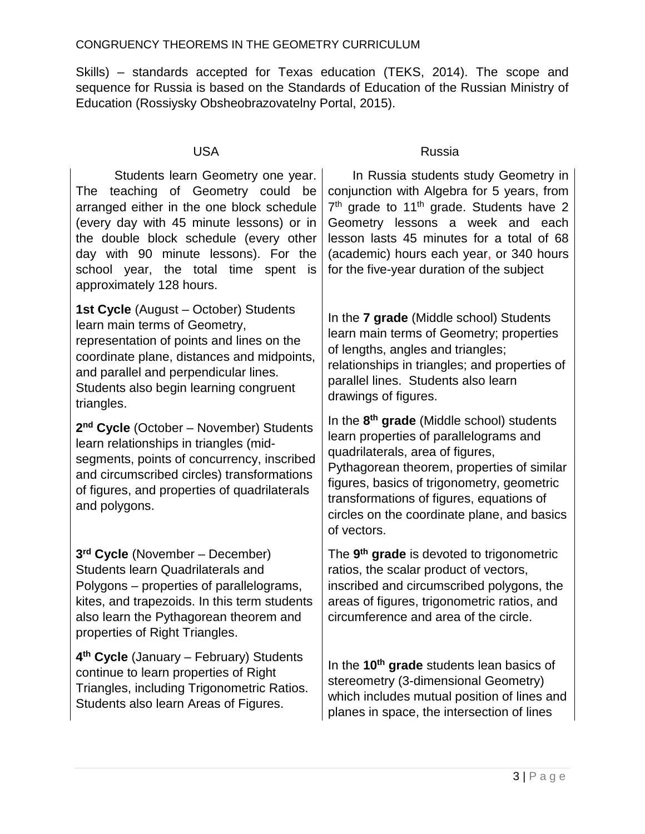Skills) – standards accepted for Texas education (TEKS, 2014). The scope and sequence for Russia is based on the Standards of Education of the Russian Ministry of Education (Rossiysky Obsheobrazovatelny Portal, 2015).

 Students learn Geometry one year. The teaching of Geometry could be arranged either in the one block schedule (every day with 45 minute lessons) or in the double block schedule (every other day with 90 minute lessons). For the school year, the total time spent is approximately 128 hours.

**1st Cycle** (August – October) Students learn main terms of Geometry, representation of points and lines on the coordinate plane, distances and midpoints, and parallel and perpendicular lines. Students also begin learning congruent triangles.

**2nd Cycle** (October – November) Students learn relationships in triangles (midsegments, points of concurrency, inscribed and circumscribed circles) transformations of figures, and properties of quadrilaterals and polygons.

**3rd Cycle** (November – December) Students learn Quadrilaterals and Polygons – properties of parallelograms, kites, and trapezoids. In this term students also learn the Pythagorean theorem and properties of Right Triangles.

**4th Cycle** (January – February) Students continue to learn properties of Right Triangles, including Trigonometric Ratios. Students also learn Areas of Figures.

## USA Russia

 In Russia students study Geometry in conjunction with Algebra for 5 years, from 7<sup>th</sup> grade to 11<sup>th</sup> grade. Students have 2 Geometry lessons a week and each lesson lasts 45 minutes for a total of 68 (academic) hours each year, or 340 hours for the five-year duration of the subject

In the **7 grade** (Middle school) Students learn main terms of Geometry; properties of lengths, angles and triangles; relationships in triangles; and properties of parallel lines. Students also learn drawings of figures.

In the **8th grade** (Middle school) students learn properties of parallelograms and quadrilaterals, area of figures, Pythagorean theorem, properties of similar figures, basics of trigonometry, geometric transformations of figures, equations of circles on the coordinate plane, and basics of vectors.

The **9th grade** is devoted to trigonometric ratios, the scalar product of vectors, inscribed and circumscribed polygons, the areas of figures, trigonometric ratios, and circumference and area of the circle.

In the **10th grade** students lean basics of stereometry (3-dimensional Geometry) which includes mutual position of lines and planes in space, the intersection of lines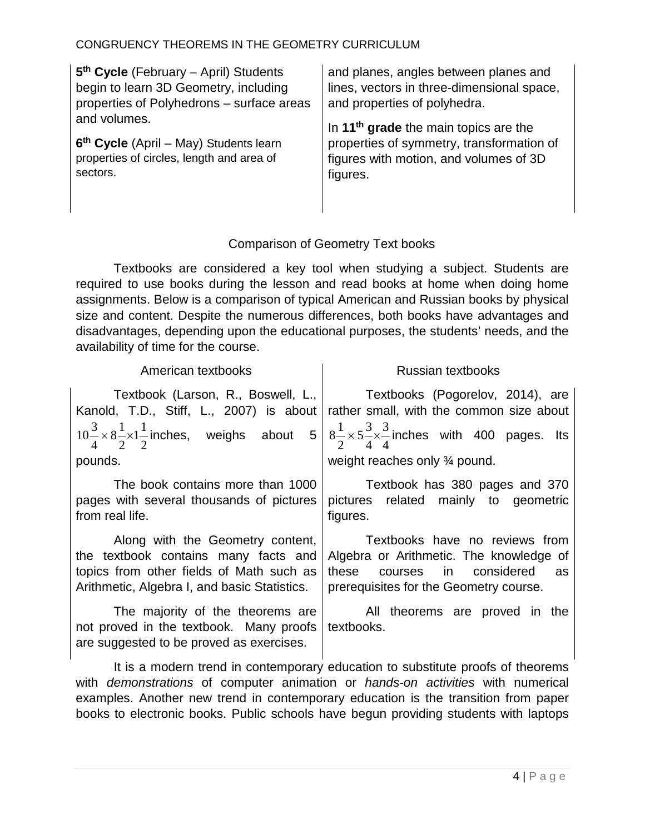| 5 <sup>th</sup> Cycle (February - April) Students  | and planes, angles between planes and             |
|----------------------------------------------------|---------------------------------------------------|
| begin to learn 3D Geometry, including              | lines, vectors in three-dimensional space,        |
| properties of Polyhedrons - surface areas          | and properties of polyhedra.                      |
| and volumes.                                       | In 11 <sup>th</sup> grade the main topics are the |
| 6 <sup>th</sup> Cycle (April – May) Students learn | properties of symmetry, transformation of         |
| properties of circles, length and area of          | figures with motion, and volumes of 3D            |
| sectors.                                           | figures.                                          |

# Comparison of Geometry Text books

Textbooks are considered a key tool when studying a subject. Students are required to use books during the lesson and read books at home when doing home assignments. Below is a comparison of typical American and Russian books by physical size and content. Despite the numerous differences, both books have advantages and disadvantages, depending upon the educational purposes, the students' needs, and the availability of time for the course.

| American textbooks                                                                                                                                                   | Russian textbooks                                                                                                                                            |  |  |
|----------------------------------------------------------------------------------------------------------------------------------------------------------------------|--------------------------------------------------------------------------------------------------------------------------------------------------------------|--|--|
| Textbook (Larson, R., Boswell, L.,  <br>Kanold, T.D., Stiff, L., 2007) is about                                                                                      | Textbooks (Pogorelov, 2014), are<br>rather small, with the common size about                                                                                 |  |  |
|                                                                                                                                                                      | $10\frac{3}{4}\times8\frac{1}{2}\times1\frac{1}{2}$ inches, weighs about $5\left(8\frac{1}{2}\times5\frac{3}{4}\times\frac{3}{4}$ inches with 400 pages. Its |  |  |
| pounds.                                                                                                                                                              | weight reaches only $\frac{3}{4}$ pound.                                                                                                                     |  |  |
| The book contains more than 1000<br>pages with several thousands of pictures<br>from real life.                                                                      | Textbook has 380 pages and 370<br>pictures related mainly to geometric<br>figures.                                                                           |  |  |
| Along with the Geometry content,<br>the textbook contains many facts and<br>topics from other fields of Math such as<br>Arithmetic, Algebra I, and basic Statistics. | Textbooks have no reviews from<br>Algebra or Arithmetic. The knowledge of<br>courses in considered<br>these<br>as<br>prerequisites for the Geometry course.  |  |  |
| The majority of the theorems are<br>not proved in the textbook. Many proofs<br>are suggested to be proved as exercises.                                              | All theorems are proved in the<br>textbooks.                                                                                                                 |  |  |

It is a modern trend in contemporary education to substitute proofs of theorems with *demonstrations* of computer animation or *hands-on activities* with numerical examples. Another new trend in contemporary education is the transition from paper books to electronic books. Public schools have begun providing students with laptops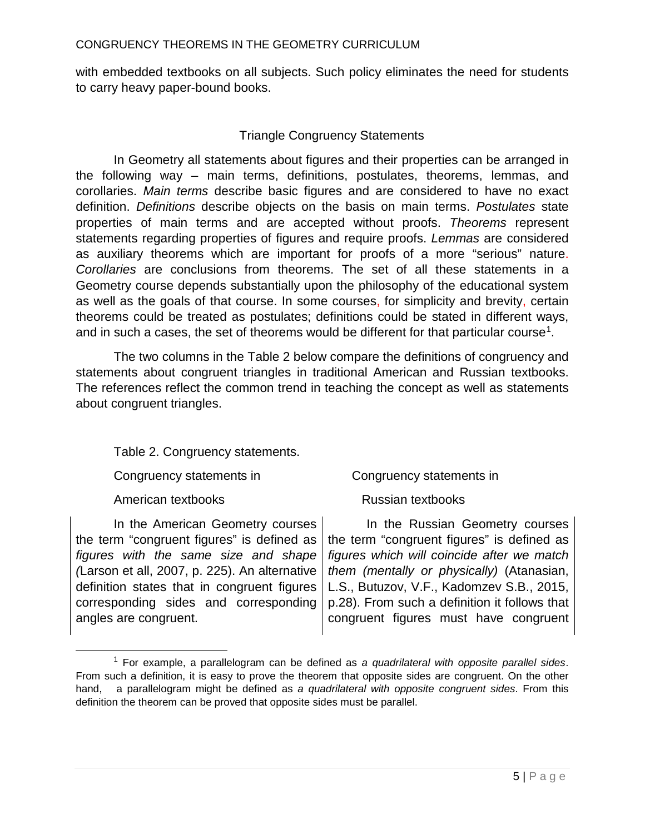with embedded textbooks on all subjects. Such policy eliminates the need for students to carry heavy paper-bound books.

## Triangle Congruency Statements

In Geometry all statements about figures and their properties can be arranged in the following way – main terms, definitions, postulates, theorems, lemmas, and corollaries. *Main terms* describe basic figures and are considered to have no exact definition. *Definitions* describe objects on the basis on main terms. *Postulates* state properties of main terms and are accepted without proofs. *Theorems* represent statements regarding properties of figures and require proofs. *Lemmas* are considered as auxiliary theorems which are important for proofs of a more "serious" nature. *Corollaries* are conclusions from theorems. The set of all these statements in a Geometry course depends substantially upon the philosophy of the educational system as well as the goals of that course. In some courses, for simplicity and brevity, certain theorems could be treated as postulates; definitions could be stated in different ways, and in such a cases, the set of theorems would be different for that particular course<sup>[1](#page-4-0)</sup>.

The two columns in the Table 2 below compare the definitions of congruency and statements about congruent triangles in traditional American and Russian textbooks. The references reflect the common trend in teaching the concept as well as statements about congruent triangles.

Table 2. Congruency statements.

Congruency statements in Congruency statements in

American textbooks **Russian** textbooks

 $\overline{a}$ 

In the American Geometry courses the term "congruent figures" is defined as *figures with the same size and shape (*Larson et all, 2007, p. 225). An alternative definition states that in congruent figures corresponding sides and corresponding angles are congruent.

 In the Russian Geometry courses the term "congruent figures" is defined as *figures which will coincide after we match them (mentally or physically)* (Atanasian, L.S., Butuzov, V.F., Kadomzev S.B., 2015, p.28). From such a definition it follows that congruent figures must have congruent

<span id="page-4-0"></span><sup>1</sup> For example, a parallelogram can be defined as *a quadrilateral with opposite parallel sides*. From such a definition, it is easy to prove the theorem that opposite sides are congruent. On the other hand, a parallelogram might be defined as *a quadrilateral with opposite congruent sides*. From this definition the theorem can be proved that opposite sides must be parallel.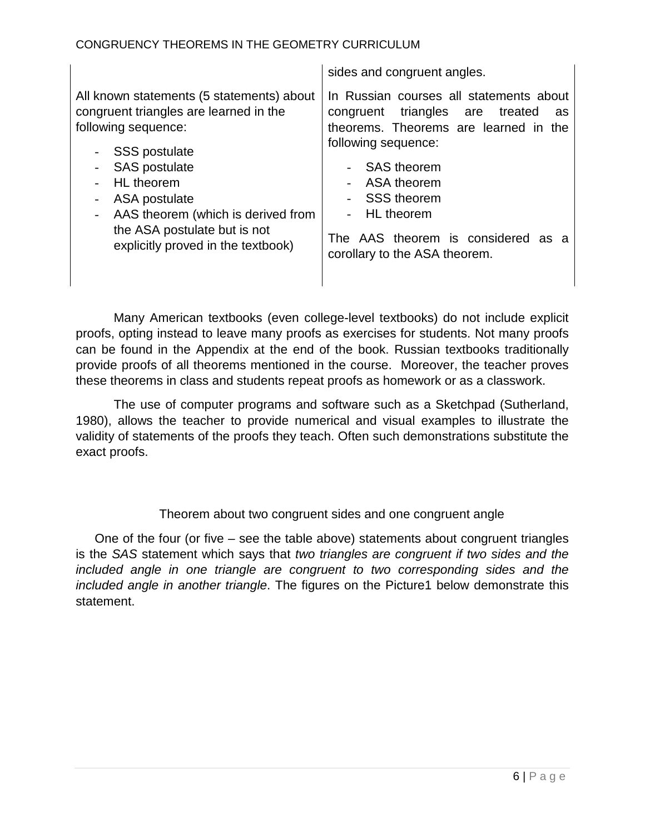|                                                                                                                                                                                                                                                                                                       | sides and congruent angles.                                                                                                                                                                                                                                                                   |
|-------------------------------------------------------------------------------------------------------------------------------------------------------------------------------------------------------------------------------------------------------------------------------------------------------|-----------------------------------------------------------------------------------------------------------------------------------------------------------------------------------------------------------------------------------------------------------------------------------------------|
| All known statements (5 statements) about<br>congruent triangles are learned in the<br>following sequence:<br><b>SSS postulate</b><br><b>SAS</b> postulate<br>HL theorem<br>ASA postulate<br>AAS theorem (which is derived from<br>the ASA postulate but is not<br>explicitly proved in the textbook) | In Russian courses all statements about<br>congruent triangles are<br>treated<br>as<br>theorems. Theorems are learned in the<br>following sequence:<br>- SAS theorem<br>- ASA theorem<br>- SSS theorem<br>- HL theorem<br>The AAS theorem is considered as a<br>corollary to the ASA theorem. |

Many American textbooks (even college-level textbooks) do not include explicit proofs, opting instead to leave many proofs as exercises for students. Not many proofs can be found in the Appendix at the end of the book. Russian textbooks traditionally provide proofs of all theorems mentioned in the course. Moreover, the teacher proves these theorems in class and students repeat proofs as homework or as a classwork.

The use of computer programs and software such as a Sketchpad (Sutherland, 1980), allows the teacher to provide numerical and visual examples to illustrate the validity of statements of the proofs they teach. Often such demonstrations substitute the exact proofs.

# Theorem about two congruent sides and one congruent angle

One of the four (or five – see the table above) statements about congruent triangles is the *SAS* statement which says that *two triangles are congruent if two sides and the included angle in one triangle are congruent to two corresponding sides and the included angle in another triangle*. The figures on the Picture1 below demonstrate this statement.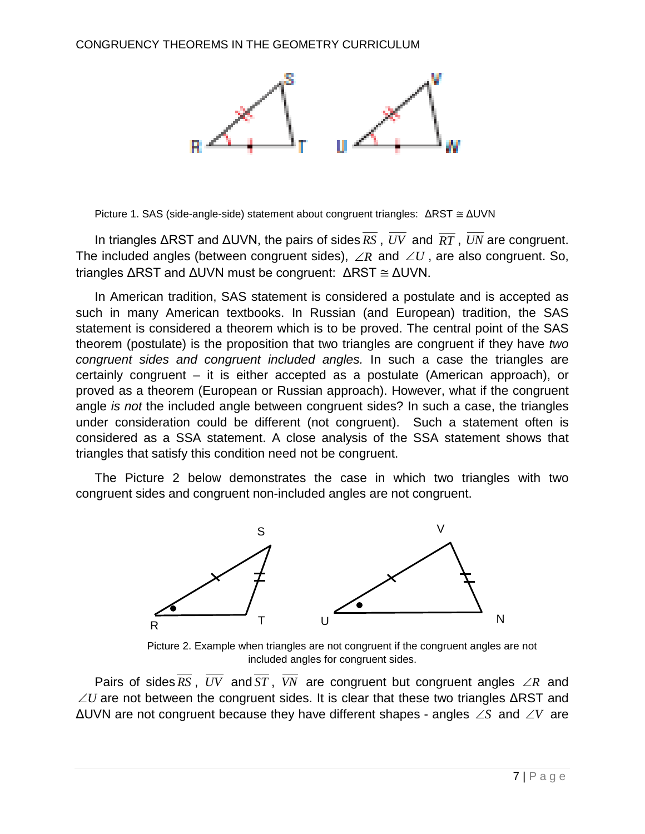

Picture 1. SAS (side-angle-side) statement about congruent triangles: ΔRST ≅ ΔUVN

In triangles ΔRST and ΔUVN, the pairs of sides *RS* , *UV* and *RT* , *UN* are congruent. The included angles (between congruent sides), ∠*R* and ∠*U* , are also congruent. So, triangles ΔRST and ΔUVN must be congruent: ΔRST ≅ ΔUVN.

In American tradition, SAS statement is considered a postulate and is accepted as such in many American textbooks. In Russian (and European) tradition, the SAS statement is considered a theorem which is to be proved. The central point of the SAS theorem (postulate) is the proposition that two triangles are congruent if they have *two congruent sides and congruent included angles.* In such a case the triangles are certainly congruent – it is either accepted as a postulate (American approach), or proved as a theorem (European or Russian approach). However, what if the congruent angle *is not* the included angle between congruent sides? In such a case, the triangles under consideration could be different (not congruent). Such a statement often is considered as a SSA statement. A close analysis of the SSA statement shows that triangles that satisfy this condition need not be congruent.

The Picture 2 below demonstrates the case in which two triangles with two congruent sides and congruent non-included angles are not congruent.



Picture 2. Example when triangles are not congruent if the congruent angles are not included angles for congruent sides.

Pairs of sides  $\overline{RS}$ ,  $\overline{UV}$  and  $\overline{ST}$ ,  $\overline{VN}$  are congruent but congruent angles ∠*R* and  $\angle U$  are not between the congruent sides. It is clear that these two triangles  $\triangle$ RST and ΔUVN are not congruent because they have different shapes - angles ∠*S* and ∠*V* are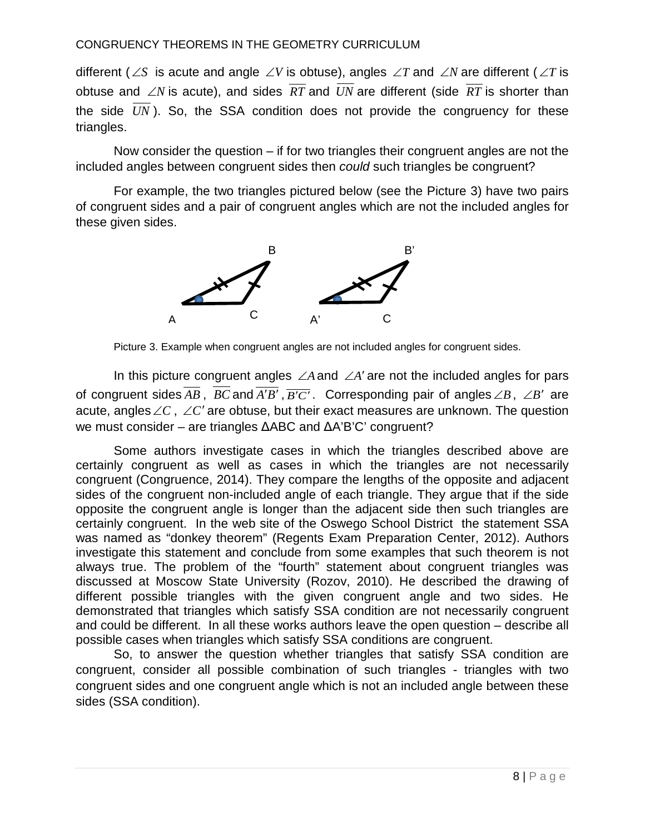different (∠*S* is acute and angle ∠*V* is obtuse), angles ∠*T* and ∠*N* are different (∠*T* is obtuse and ∠*N* is acute), and sides *RT* and *UN* are different (side *RT* is shorter than the side *UN* ). So, the SSA condition does not provide the congruency for these triangles.

Now consider the question – if for two triangles their congruent angles are not the included angles between congruent sides then *could* such triangles be congruent?

For example, the two triangles pictured below (see the Picture 3) have two pairs of congruent sides and a pair of congruent angles which are not the included angles for these given sides.



Picture 3. Example when congruent angles are not included angles for congruent sides.

In this picture congruent angles ∠*A*and ∠*A*′ are not the included angles for pars of congruent sides  $\overline{AB}$ ,  $\overline{BC}$  and  $\overline{A'B'}$ ,  $\overline{B'C'}$ . Corresponding pair of angles  $\angle B$ ,  $\angle B'$  are acute, angles∠*C* , ∠*C*′ are obtuse, but their exact measures are unknown. The question we must consider – are triangles ΔABC and ΔA'B'C' congruent?

Some authors investigate cases in which the triangles described above are certainly congruent as well as cases in which the triangles are not necessarily congruent (Congruence, 2014). They compare the lengths of the opposite and adjacent sides of the congruent non-included angle of each triangle. They argue that if the side opposite the congruent angle is longer than the adjacent side then such triangles are certainly congruent. In the web site of the Oswego School District the statement SSA was named as "donkey theorem" (Regents Exam Preparation Center, 2012). Authors investigate this statement and conclude from some examples that such theorem is not always true. The problem of the "fourth" statement about congruent triangles was discussed at Moscow State University (Rozov, 2010). He described the drawing of different possible triangles with the given congruent angle and two sides. He demonstrated that triangles which satisfy SSA condition are not necessarily congruent and could be different. In all these works authors leave the open question – describe all possible cases when triangles which satisfy SSA conditions are congruent.

So, to answer the question whether triangles that satisfy SSA condition are congruent, consider all possible combination of such triangles - triangles with two congruent sides and one congruent angle which is not an included angle between these sides (SSA condition).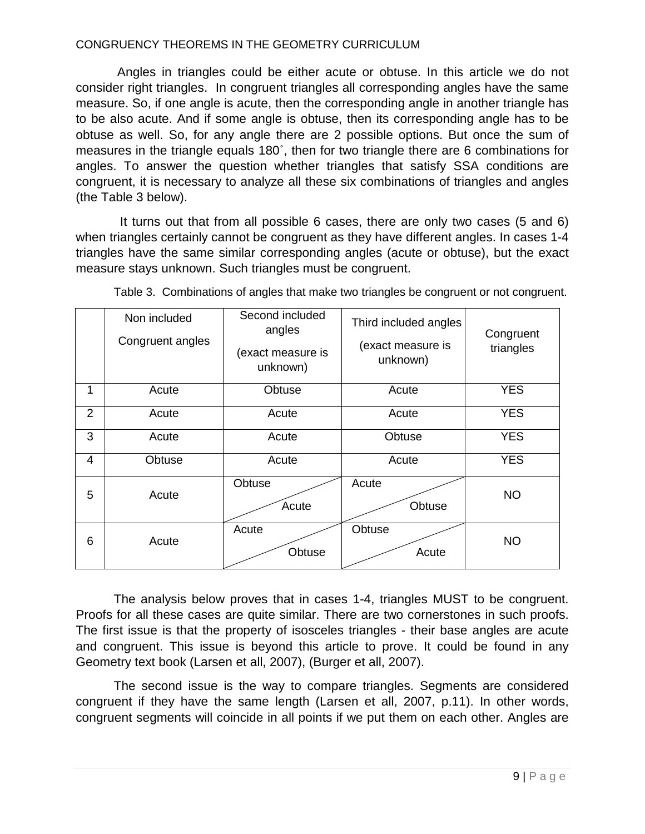Angles in triangles could be either acute or obtuse. In this article we do not consider right triangles. In congruent triangles all corresponding angles have the same measure. So, if one angle is acute, then the corresponding angle in another triangle has to be also acute. And if some angle is obtuse, then its corresponding angle has to be obtuse as well. So, for any angle there are 2 possible options. But once the sum of measures in the triangle equals 180˚, then for two triangle there are 6 combinations for angles. To answer the question whether triangles that satisfy SSA conditions are congruent, it is necessary to analyze all these six combinations of triangles and angles (the Table 3 below).

It turns out that from all possible 6 cases, there are only two cases (5 and 6) when triangles certainly cannot be congruent as they have different angles. In cases 1-4 triangles have the same similar corresponding angles (acute or obtuse), but the exact measure stays unknown. Such triangles must be congruent.

|                | Non included<br>Congruent angles | Second included<br>angles<br>(exact measure is<br>unknown) | Third included angles<br>(exact measure is<br>unknown) | Congruent<br>triangles |
|----------------|----------------------------------|------------------------------------------------------------|--------------------------------------------------------|------------------------|
| 1              | Acute                            | Obtuse                                                     | Acute                                                  | <b>YES</b>             |
| $\overline{2}$ | Acute                            | Acute                                                      | Acute                                                  | <b>YES</b>             |
| 3              | Acute                            | Acute                                                      | Obtuse                                                 | <b>YES</b>             |
| $\overline{4}$ | Obtuse                           | Acute                                                      | Acute                                                  | <b>YES</b>             |
| 5              | Acute                            | Obtuse<br>Acute                                            | Acute<br>Obtuse                                        | <b>NO</b>              |
| 6              | Acute                            | Acute<br>Obtuse                                            | Obtuse<br>Acute                                        | <b>NO</b>              |

Table 3. Combinations of angles that make two triangles be congruent or not congruent.

The analysis below proves that in cases 1-4, triangles MUST to be congruent. Proofs for all these cases are quite similar. There are two cornerstones in such proofs. The first issue is that the property of isosceles triangles - their base angles are acute and congruent. This issue is beyond this article to prove. It could be found in any Geometry text book (Larsen et all, 2007), (Burger et all, 2007).

The second issue is the way to compare triangles. Segments are considered congruent if they have the same length (Larsen et all, 2007, p.11). In other words, congruent segments will coincide in all points if we put them on each other. Angles are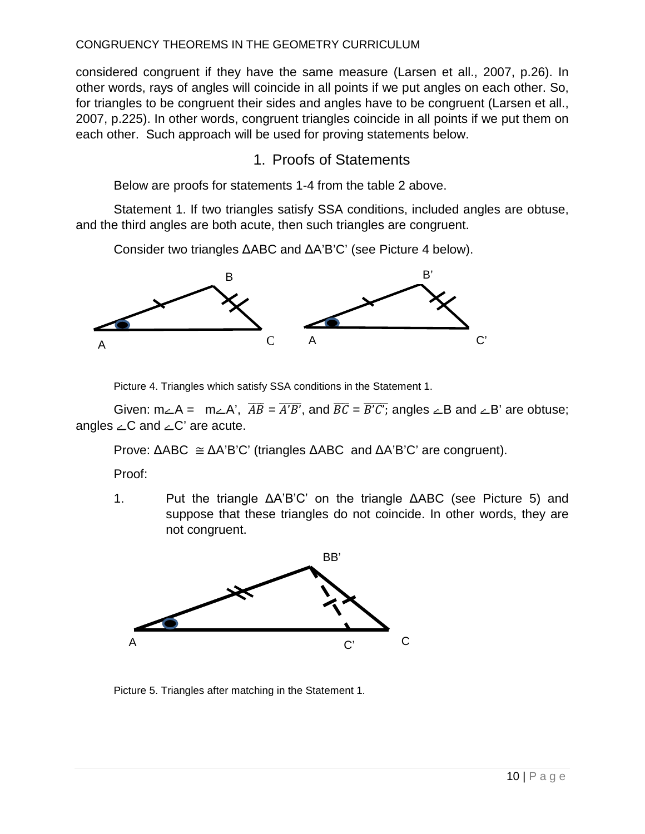considered congruent if they have the same measure (Larsen et all., 2007, p.26). In other words, rays of angles will coincide in all points if we put angles on each other. So, for triangles to be congruent their sides and angles have to be congruent (Larsen et all., 2007, p.225). In other words, congruent triangles coincide in all points if we put them on each other. Such approach will be used for proving statements below.

# 1. Proofs of Statements

Below are proofs for statements 1-4 from the table 2 above.

Statement 1. If two triangles satisfy SSA conditions, included angles are obtuse, and the third angles are both acute, then such triangles are congruent.

Consider two triangles ΔABC and ΔA'B'C' (see Picture 4 below).



Picture 4. Triangles which satisfy SSA conditions in the Statement 1.

Given:  $m_\angle A = m_\angle A'$ ,  $\overline{AB} = A'B'$ , and  $\overline{BC} = B'C'$ ; angles  $\angle B$  and  $\angle B'$  are obtuse; angles  $\angle C$  and  $\angle C'$  are acute.

Prove: ΔABC ≅ ΔA'B'C' (triangles ΔABC and ΔA'B'C' are congruent).

Proof:

1. Put the triangle ΔA'B'C' on the triangle ΔABC (see Picture 5) and suppose that these triangles do not coincide. In other words, they are not congruent.



Picture 5. Triangles after matching in the Statement 1.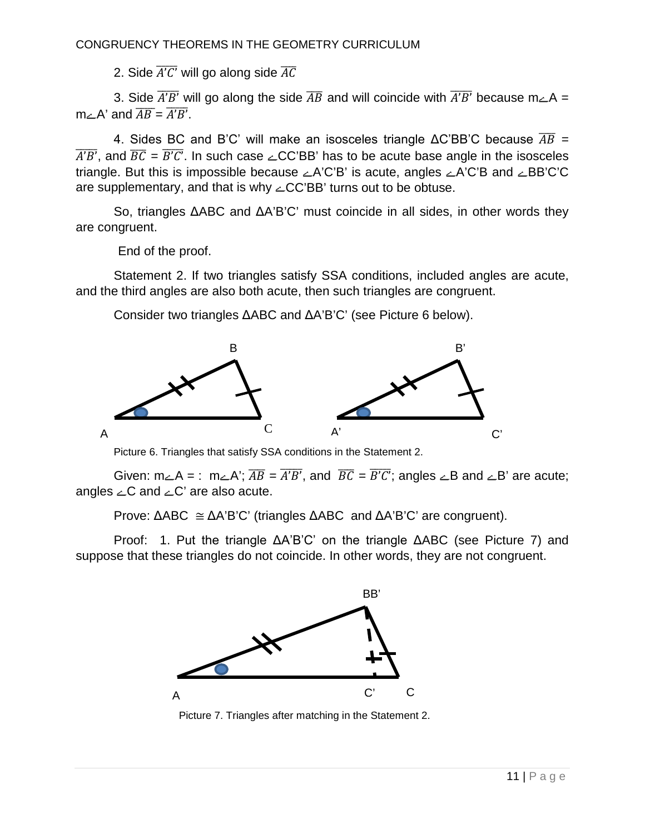2. Side  $\overline{A'C'}$  will go along side  $\overline{AC}$ 

3. Side  $\overline{A'B'}$  will go along the side  $\overline{AB}$  and will coincide with  $\overline{A'B'}$  because m $\angle A =$  $m \angle A'$  and  $\overline{AB} = \overline{A'B'}$ .

4. Sides BC and B'C' will make an isosceles triangle  $\triangle C'BB'C$  because  $\overline{AB}$  =  $\overline{A'B'}$ , and  $\overline{BC} = \overline{B'C'}$ . In such case  $\angle CC'BB'$  has to be acute base angle in the isosceles triangle. But this is impossible because  $\angle A'C'B'$  is acute, angles  $\angle A'C'B$  and  $\angle BB'C'C$ are supplementary, and that is why  $\angle CC'BB'$  turns out to be obtuse.

So, triangles ΔABC and ΔA'B'C' must coincide in all sides, in other words they are congruent.

End of the proof.

Statement 2. If two triangles satisfy SSA conditions, included angles are acute, and the third angles are also both acute, then such triangles are congruent.

Consider two triangles ΔABC and ΔA'B'C' (see Picture 6 below).



Picture 6. Triangles that satisfy SSA conditions in the Statement 2.

Given:  $m_\angle A =$ :  $m_\angle A$ ;  $\overline{AB} = \overline{A'B'}$ , and  $\overline{BC} = \overline{B'C'}$ ; angles  $\angle B$  and  $\angle B'$  are acute; angles  $\angle C$  and  $\angle C'$  are also acute.

Prove:  $\triangle ABC \cong \triangle A'B'C'$  (triangles  $\triangle ABC$  and  $\triangle A'B'C'$  are congruent).

Proof: 1. Put the triangle  $\Delta A'B'C'$  on the triangle  $\Delta ABC$  (see Picture 7) and suppose that these triangles do not coincide. In other words, they are not congruent.



Picture 7. Triangles after matching in the Statement 2.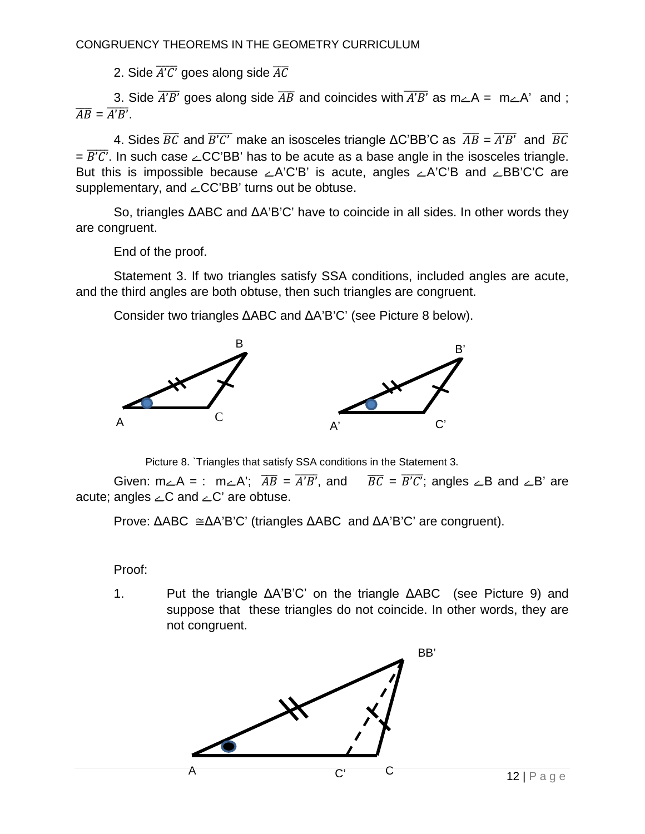2. Side  $\overline{A'C'}$  goes along side  $\overline{AC}$ 

3. Side  $\overline{A'B'}$  goes along side  $\overline{AB}$  and coincides with  $\overline{A'B'}$  as m $\angle A = m\angle A'$  and;  $\overline{AB} = \overline{A'B'}$ .

4. Sides  $\overline{BC}$  and  $\overline{B'C'}$  make an isosceles triangle  $\Delta C'BB'C$  as  $\overline{AB} = \overline{A'B'}$  and  $\overline{BC}$  $=\overline{B'C'}$ . In such case  $\angle CC'BB'$  has to be acute as a base angle in the isosceles triangle. But this is impossible because  $\angle A'C'B'$  is acute, angles  $\angle A'C'B$  and  $\angle BB'C'C$  are supplementary, and  $\angle CC'BB'$  turns out be obtuse.

So, triangles ΔABC and ΔA'B'C' have to coincide in all sides. In other words they are congruent.

End of the proof.

Statement 3. If two triangles satisfy SSA conditions, included angles are acute, and the third angles are both obtuse, then such triangles are congruent.

Consider two triangles ΔABC and ΔA'B'C' (see Picture 8 below).



Picture 8. Triangles that satisfy SSA conditions in the Statement 3.

Given:  $m_\angle A =$ :  $m_\angle A'$ ;  $\overline{AB} = \overline{A'B'}$ , and  $\overline{BC} = \overline{B'C'}$ ; angles  $\angle B$  and  $\angle B'$  are acute; angles  $\angle C$  and  $\angle C'$  are obtuse.

Prove:  $\triangle ABC \cong \triangle A'B'C'$  (triangles  $\triangle ABC$  and  $\triangle A'B'C'$  are congruent).

Proof:

 $1<sup>1</sup>$ Put the triangle ΔA'B'C' on the triangle ΔABC (see Picture 9) and suppose that these triangles do not coincide. In other words, they are not congruent.

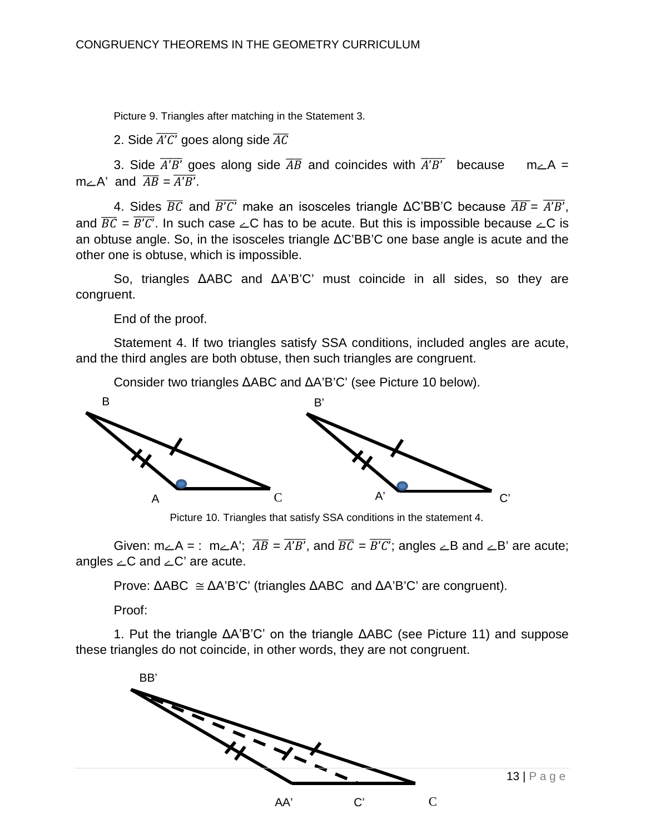Picture 9. Triangles after matching in the Statement 3.

2. Side  $\overline{A'C'}$  goes along side  $\overline{AC}$ 

3. Side  $\overline{A'B'}$  goes along side  $\overline{AB}$  and coincides with  $\overline{A'B'}$  because m $\angle A =$  $m\angle A'$  and  $\overline{AB} = \overline{A'B'}$ .

4. Sides  $\overline{BC}$  and  $\overline{B'C'}$  make an isosceles triangle  $\triangle C'BB'C$  because  $\overline{AB} = \overline{A'B'}$ . and  $\overline{BC} = \overline{B'C'}$ . In such case  $\angle C$  has to be acute. But this is impossible because  $\angle C$  is an obtuse angle. So, in the isosceles triangle  $\Delta C'BB'C$  one base angle is acute and the other one is obtuse, which is impossible.

So, triangles ΔABC and ΔA'B'C' must coincide in all sides, so they are congruent.

End of the proof.

Statement 4. If two triangles satisfy SSA conditions, included angles are acute, and the third angles are both obtuse, then such triangles are congruent.

Consider two triangles  $\triangle ABC$  and  $\triangle A'B'C'$  (see Picture 10 below).



Picture 10. Triangles that satisfy SSA conditions in the statement 4.

Given:  $m_\angle A =$ :  $m_\angle A$ ;  $\overline{AB} = \overline{A'B'}$ , and  $\overline{BC} = \overline{B'C'}$ ; angles  $\angle B$  and  $\angle B'$  are acute; angles  $\angle C$  and  $\angle C'$  are acute.

Prove:  $\triangle ABC \cong \triangle A'B'C'$  (triangles  $\triangle ABC$  and  $\triangle A'B'C'$  are congruent).

Proof:

1. Put the triangle  $\Delta A'B'C'$  on the triangle  $\Delta ABC$  (see Picture 11) and suppose these triangles do not coincide, in other words, they are not congruent.

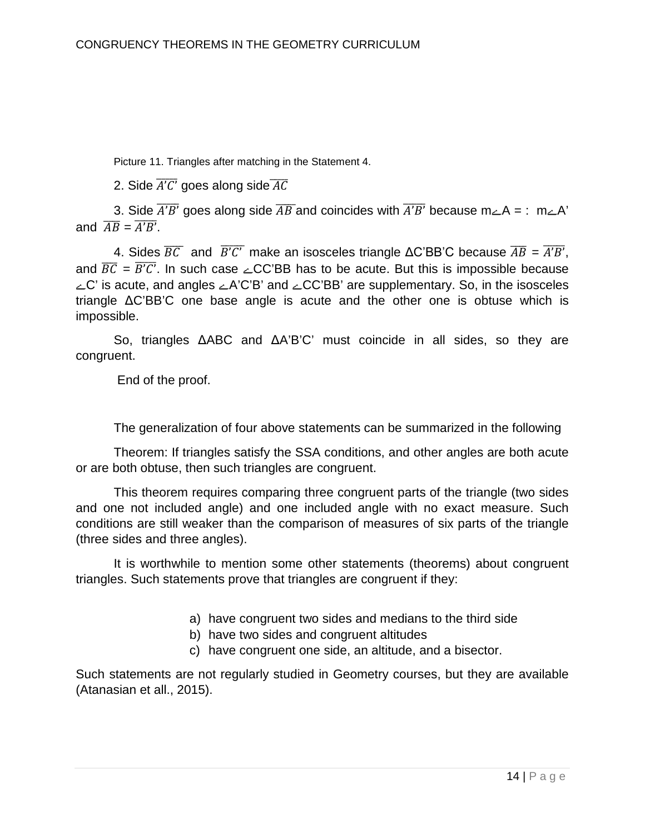Picture 11. Triangles after matching in the Statement 4.

2. Side  $\overline{A'C'}$  goes along side  $\overline{AC}$ 

3. Side  $\overline{A'B'}$  goes along side  $\overline{AB}$  and coincides with  $\overline{A'B'}$  because m $\angle A = : m \angle A'$ and  $\overline{AB} = \overline{A'B'}$ .

4. Sides  $\overline{BC}$  and  $\overline{B'C'}$  make an isosceles triangle  $\triangle C'BB'C$  because  $\overline{AB} = \overline{A'B'}$ , and  $\overline{BC} = \overline{B'C'}$ . In such case  $\angle CC'BB$  has to be acute. But this is impossible because  $\angle C$  is acute, and angles  $\angle A'C'B'$  and  $\angle CC'BB'$  are supplementary. So, in the isosceles triangle  $\Delta C'BB'C$  one base angle is acute and the other one is obtuse which is impossible.

So, triangles ΔABC and ΔA'B'C' must coincide in all sides, so they are congruent.

End of the proof.

The generalization of four above statements can be summarized in the following

Theorem: If triangles satisfy the SSA conditions, and other angles are both acute or are both obtuse, then such triangles are congruent.

This theorem requires comparing three congruent parts of the triangle (two sides and one not included angle) and one included angle with no exact measure. Such conditions are still weaker than the comparison of measures of six parts of the triangle (three sides and three angles).

It is worthwhile to mention some other statements (theorems) about congruent triangles. Such statements prove that triangles are congruent if they:

- a) have congruent two sides and medians to the third side
- b) have two sides and congruent altitudes
- c) have congruent one side, an altitude, and a bisector.

Such statements are not regularly studied in Geometry courses, but they are available (Atanasian et all., 2015).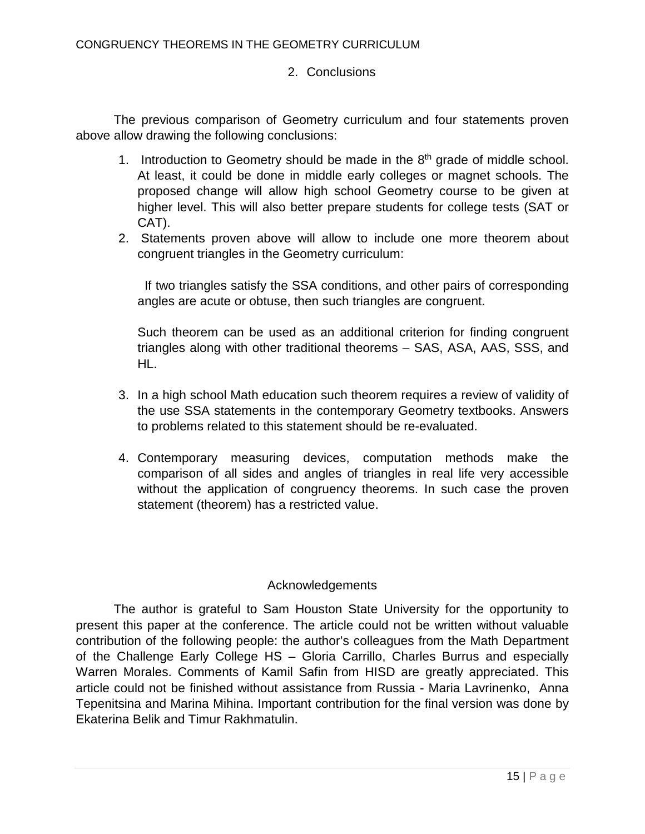## 2. Conclusions

The previous comparison of Geometry curriculum and four statements proven above allow drawing the following conclusions:

- 1. Introduction to Geometry should be made in the  $8<sup>th</sup>$  grade of middle school. At least, it could be done in middle early colleges or magnet schools. The proposed change will allow high school Geometry course to be given at higher level. This will also better prepare students for college tests (SAT or CAT).
- 2. Statements proven above will allow to include one more theorem about congruent triangles in the Geometry curriculum:

If two triangles satisfy the SSA conditions, and other pairs of corresponding angles are acute or obtuse, then such triangles are congruent.

Such theorem can be used as an additional criterion for finding congruent triangles along with other traditional theorems – SAS, ASA, AAS, SSS, and HL.

- 3. In a high school Math education such theorem requires a review of validity of the use SSA statements in the contemporary Geometry textbooks. Answers to problems related to this statement should be re-evaluated.
- 4. Contemporary measuring devices, computation methods make the comparison of all sides and angles of triangles in real life very accessible without the application of congruency theorems. In such case the proven statement (theorem) has a restricted value.

# Acknowledgements

The author is grateful to Sam Houston State University for the opportunity to present this paper at the conference. The article could not be written without valuable contribution of the following people: the author's colleagues from the Math Department of the Challenge Early College HS – Gloria Carrillo, Charles Burrus and especially Warren Morales. Comments of Kamil Safin from HISD are greatly appreciated. This article could not be finished without assistance from Russia - Maria Lavrinenko, Anna Tepenitsina and Marina Mihina. Important contribution for the final version was done by Ekaterina Belik and Timur Rakhmatulin.